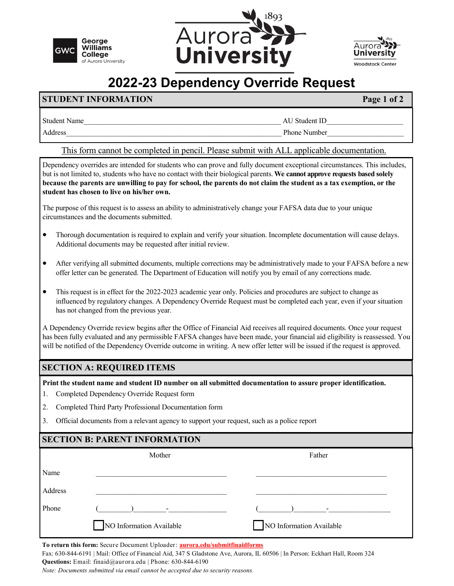





# **2022-23 Dependency Override Request**

### **STUDENT INFORMATION Page 1 of 2**

| Studen<br>Name - |                 |
|------------------|-----------------|
| . و معامله       | Phone<br>√umber |

#### This form cannot be completed in pencil. Please submit with ALL applicable documentation.

Dependency overrides are intended for students who can prove and fully document exceptional circumstances. This includes, but is not limited to, students who have no contact with their biological parents. **We cannot approve requests based solely because the parents are unwilling to pay for school, the parents do not claim the student as a tax exemption, or the student has chosen to live on his/her own.**

The purpose of this request is to assess an ability to administratively change your FAFSA data due to your unique circumstances and the documents submitted.

- Thorough documentation is required to explain and verify your situation. Incomplete documentation will cause delays. Additional documents may be requested after initial review.
- After verifying all submitted documents, multiple corrections may be administratively made to your FAFSA before a new offer letter can be generated. The Department of Education will notify you by email of any corrections made.
- This request is in effect for the 2022-2023 academic year only. Policies and procedures are subject to change as influenced by regulatory changes. A Dependency Override Request must be completed each year, even if your situation has not changed from the previous year.

A Dependency Override review begins after the Office of Financial Aid receives all required documents. Once your request has been fully evaluated and any permissible FAFSA changes have been made, your financial aid eligibility is reassessed. You will be notified of the Dependency Override outcome in writing. A new offer letter will be issued if the request is approved.

#### **SECTION A: REQUIRED ITEMS**

**Print the student name and student ID number on all submitted documentation to assure proper identification.** 

- 1. Completed Dependency Override Request form
- 2. Completed Third Party Professional Documentation form
- 3. Official documents from a relevant agency to support your request, such as a police report

| <b>SECTION B: PARENT INFORMATION</b> |                          |                          |  |
|--------------------------------------|--------------------------|--------------------------|--|
|                                      | Mother                   | Father                   |  |
| Name                                 |                          |                          |  |
| Address                              |                          |                          |  |
| Phone                                | $\sim$                   |                          |  |
|                                      | NO Information Available | NO Information Available |  |

**To return this form:** Secure Document Uploader: **[aurora.edu/submitfinaidforms](https://aurora.edu/admission/financialaid/forms/submit-forms.html)**

Fax: 630-844-6191 | Mail: Office of Financial Aid, 347 S Gladstone Ave, Aurora, IL 60506 | In Person: Eckhart Hall, Room 324 **Questions:** Email: finaid@aurora.edu | Phone: 630-844-6190

*Note: Documents submitted via email cannot be accepted due to security reasons.*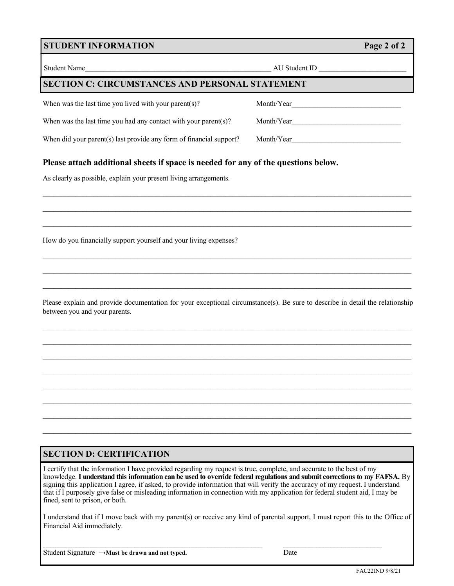#### **STUDENT INFORMATION Page 2 of 2**

| <b>Student Name</b>                                                 | AU Student ID |  |  |
|---------------------------------------------------------------------|---------------|--|--|
| <b>SECTION C: CIRCUMSTANCES AND PERSONAL STATEMENT</b>              |               |  |  |
| When was the last time you lived with your parent(s)?               | Month/Year    |  |  |
| When was the last time you had any contact with your parent(s)?     | Month/Year    |  |  |
| When did your parent(s) last provide any form of financial support? | Month/Year    |  |  |
|                                                                     |               |  |  |

 $\mathcal{L}_\mathcal{L} = \{ \mathcal{L}_\mathcal{L} = \{ \mathcal{L}_\mathcal{L} = \{ \mathcal{L}_\mathcal{L} = \{ \mathcal{L}_\mathcal{L} = \{ \mathcal{L}_\mathcal{L} = \{ \mathcal{L}_\mathcal{L} = \{ \mathcal{L}_\mathcal{L} = \{ \mathcal{L}_\mathcal{L} = \{ \mathcal{L}_\mathcal{L} = \{ \mathcal{L}_\mathcal{L} = \{ \mathcal{L}_\mathcal{L} = \{ \mathcal{L}_\mathcal{L} = \{ \mathcal{L}_\mathcal{L} = \{ \mathcal{L}_\mathcal{$ 

#### **Please attach additional sheets if space is needed for any of the questions below.**

As clearly as possible, explain your present living arrangements.

How do you financially support yourself and your living expenses?

Please explain and provide documentation for your exceptional circumstance(s). Be sure to describe in detail the relationship between you and your parents.

 $\mathcal{L}_\text{max}$ 

 $\mathcal{L}_\text{max}$ 

 $\mathcal{L}_\text{max}$ 

 $\mathcal{L}_\mathcal{L} = \{ \mathcal{L}_\mathcal{L} = \{ \mathcal{L}_\mathcal{L} = \{ \mathcal{L}_\mathcal{L} = \{ \mathcal{L}_\mathcal{L} = \{ \mathcal{L}_\mathcal{L} = \{ \mathcal{L}_\mathcal{L} = \{ \mathcal{L}_\mathcal{L} = \{ \mathcal{L}_\mathcal{L} = \{ \mathcal{L}_\mathcal{L} = \{ \mathcal{L}_\mathcal{L} = \{ \mathcal{L}_\mathcal{L} = \{ \mathcal{L}_\mathcal{L} = \{ \mathcal{L}_\mathcal{L} = \{ \mathcal{L}_\mathcal{$ 

### **SECTION D: CERTIFICATION**

I certify that the information I have provided regarding my request is true, complete, and accurate to the best of my knowledge. **I understand this information can be used to override federal regulations and submit corrections to my FAFSA.** By signing this application I agree, if asked, to provide information that will verify the accuracy of my request. I understand that if I purposely give false or misleading information in connection with my application for federal student aid, I may be fined, sent to prison, or both.

I understand that if I move back with my parent(s) or receive any kind of parental support, I must report this to the Office of Financial Aid immediately.

 $\mathcal{L}_\mathcal{L} = \mathcal{L}_\mathcal{L} = \mathcal{L}_\mathcal{L} = \mathcal{L}_\mathcal{L} = \mathcal{L}_\mathcal{L} = \mathcal{L}_\mathcal{L} = \mathcal{L}_\mathcal{L} = \mathcal{L}_\mathcal{L} = \mathcal{L}_\mathcal{L} = \mathcal{L}_\mathcal{L} = \mathcal{L}_\mathcal{L} = \mathcal{L}_\mathcal{L} = \mathcal{L}_\mathcal{L} = \mathcal{L}_\mathcal{L} = \mathcal{L}_\mathcal{L} = \mathcal{L}_\mathcal{L} = \mathcal{L}_\mathcal{L}$ 

| Student Signature $\rightarrow$ Must be drawn and not typed. | Date |
|--------------------------------------------------------------|------|
|--------------------------------------------------------------|------|